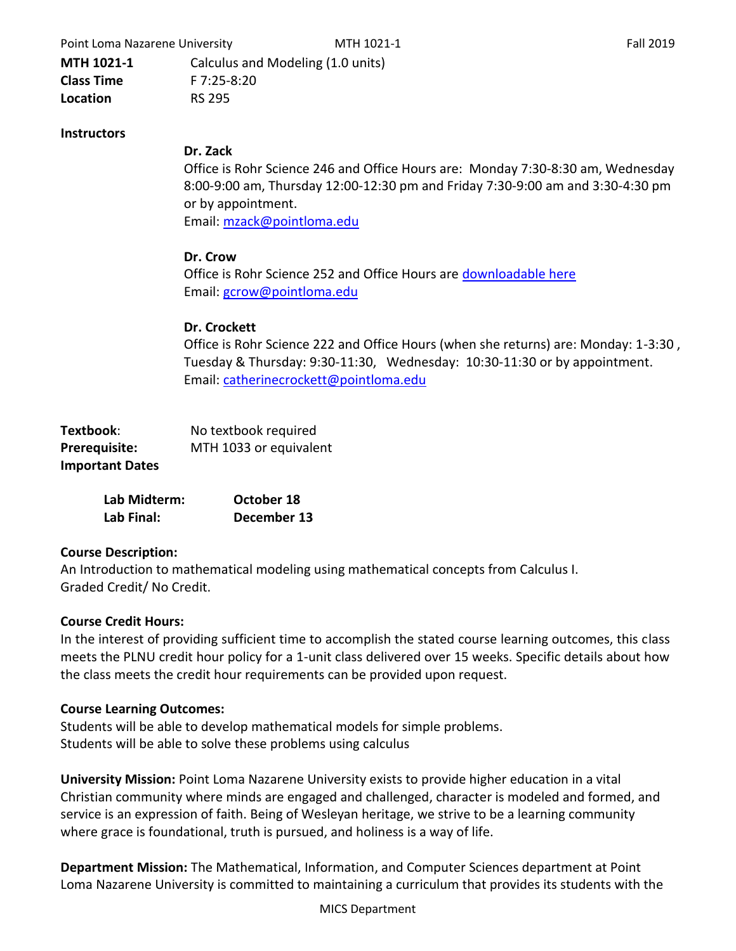Point Loma Nazarene University **MTH 1021-1** Fall 2019

**MTH 1021-1** Calculus and Modeling (1.0 units) **Class Time** F 7:25-8:20 **Location** RS 295

#### **Instructors**

#### **Dr. Zack**

Office is Rohr Science 246 and Office Hours are: Monday 7:30-8:30 am, Wednesday 8:00-9:00 am, Thursday 12:00-12:30 pm and Friday 7:30-9:00 am and 3:30-4:30 pm or by appointment. Email: [mzack@pointloma.edu](mailto:mzack@pointloma.edu)

#### **Dr. Crow**

Office is Rohr Science 252 and Office Hours are [downloadable here](/courses/45902/files/2772097/download?wrap=1) Email: [gcrow@pointloma.edu](mailto:gcrow@pointloma.edu)

#### **Dr. Crockett**

Office is Rohr Science 222 and Office Hours (when she returns) are: Monday: 1-3:30 , Tuesday & Thursday: 9:30-11:30, Wednesday: 10:30-11:30 or by appointment. Email: [catherinecrockett@pointloma.edu](mailto:catherinecrockett@pointloma.edu)

| Textbook:              | No textbook required   |
|------------------------|------------------------|
| Prerequisite:          | MTH 1033 or equivalent |
| <b>Important Dates</b> |                        |

| Lab Midterm: | October 18  |  |  |
|--------------|-------------|--|--|
| Lab Final:   | December 13 |  |  |

#### **Course Description:**

An Introduction to mathematical modeling using mathematical concepts from Calculus I. Graded Credit/ No Credit.

#### **Course Credit Hours:**

In the interest of providing sufficient time to accomplish the stated course learning outcomes, this class meets the PLNU credit hour policy for a 1-unit class delivered over 15 weeks. Specific details about how the class meets the credit hour requirements can be provided upon request.

#### **Course Learning Outcomes:**

Students will be able to develop mathematical models for simple problems. Students will be able to solve these problems using calculus

**University Mission:** Point Loma Nazarene University exists to provide higher education in a vital Christian community where minds are engaged and challenged, character is modeled and formed, and service is an expression of faith. Being of Wesleyan heritage, we strive to be a learning community where grace is foundational, truth is pursued, and holiness is a way of life.

**Department Mission:** The Mathematical, Information, and Computer Sciences department at Point Loma Nazarene University is committed to maintaining a curriculum that provides its students with the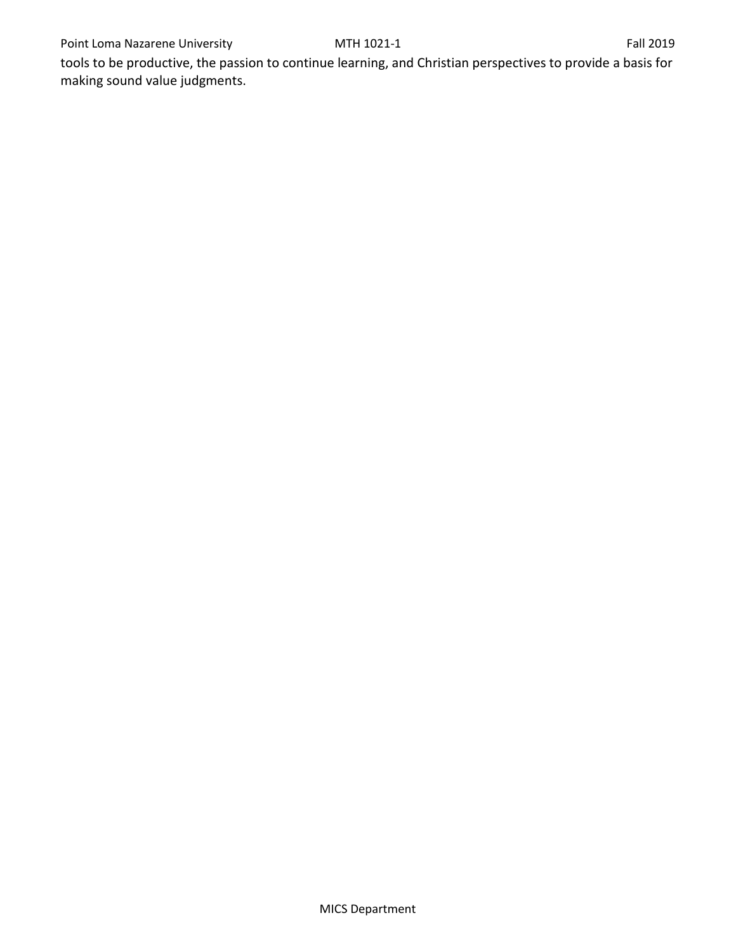tools to be productive, the passion to continue learning, and Christian perspectives to provide a basis for making sound value judgments.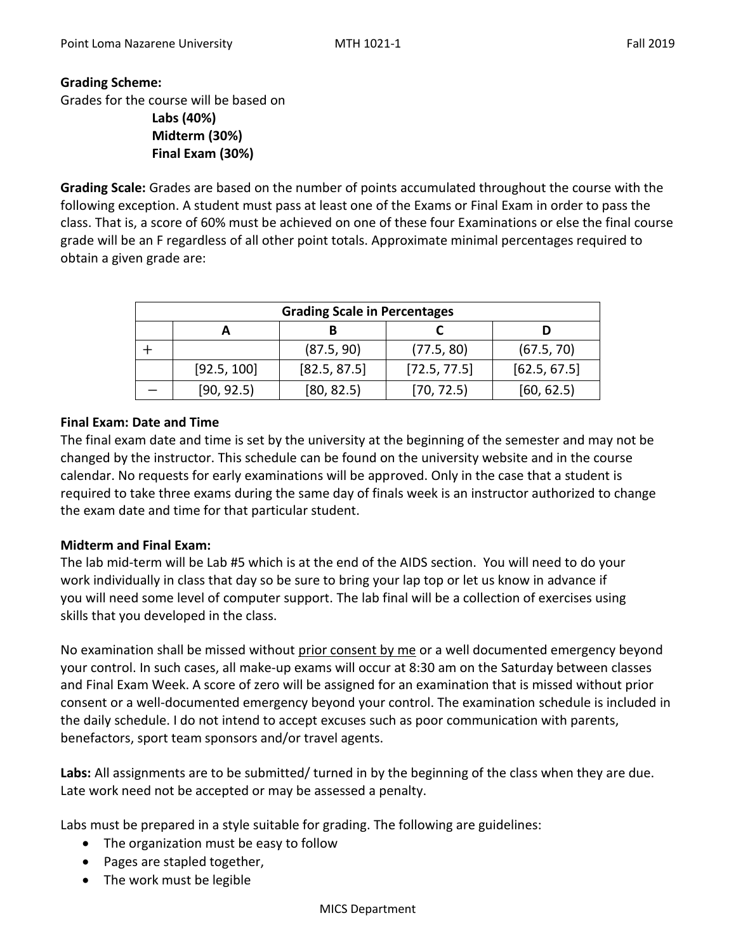## **Grading Scheme:**

Grades for the course will be based on

**Labs (40%) Midterm (30%) Final Exam (30%)**

**Grading Scale:** Grades are based on the number of points accumulated throughout the course with the following exception. A student must pass at least one of the Exams or Final Exam in order to pass the class. That is, a score of 60% must be achieved on one of these four Examinations or else the final course grade will be an F regardless of all other point totals. Approximate minimal percentages required to obtain a given grade are:

| <b>Grading Scale in Percentages</b> |             |              |              |              |  |  |  |  |
|-------------------------------------|-------------|--------------|--------------|--------------|--|--|--|--|
|                                     |             |              |              |              |  |  |  |  |
|                                     |             | (87.5, 90)   | (77.5, 80)   | (67.5, 70)   |  |  |  |  |
|                                     | [92.5, 100] | [82.5, 87.5] | [72.5, 77.5] | [62.5, 67.5] |  |  |  |  |
|                                     | [90, 92.5]  | [80, 82.5]   | [70, 72.5]   | [60, 62.5]   |  |  |  |  |

## **Final Exam: Date and Time**

The final exam date and time is set by the university at the beginning of the semester and may not be changed by the instructor. This schedule can be found on the university website and in the course calendar. No requests for early examinations will be approved. Only in the case that a student is required to take three exams during the same day of finals week is an instructor authorized to change the exam date and time for that particular student.

# **Midterm and Final Exam:**

The lab mid-term will be Lab #5 which is at the end of the AIDS section. You will need to do your work individually in class that day so be sure to bring your lap top or let us know in advance if you will need some level of computer support. The lab final will be a collection of exercises using skills that you developed in the class.

No examination shall be missed without prior consent by me or a well documented emergency beyond your control. In such cases, all make-up exams will occur at 8:30 am on the Saturday between classes and Final Exam Week. A score of zero will be assigned for an examination that is missed without prior consent or a well-documented emergency beyond your control. The examination schedule is included in the daily schedule. I do not intend to accept excuses such as poor communication with parents, benefactors, sport team sponsors and/or travel agents.

**Labs:** All assignments are to be submitted/ turned in by the beginning of the class when they are due. Late work need not be accepted or may be assessed a penalty.

Labs must be prepared in a style suitable for grading. The following are guidelines:

- The organization must be easy to follow
- Pages are stapled together,
- The work must be legible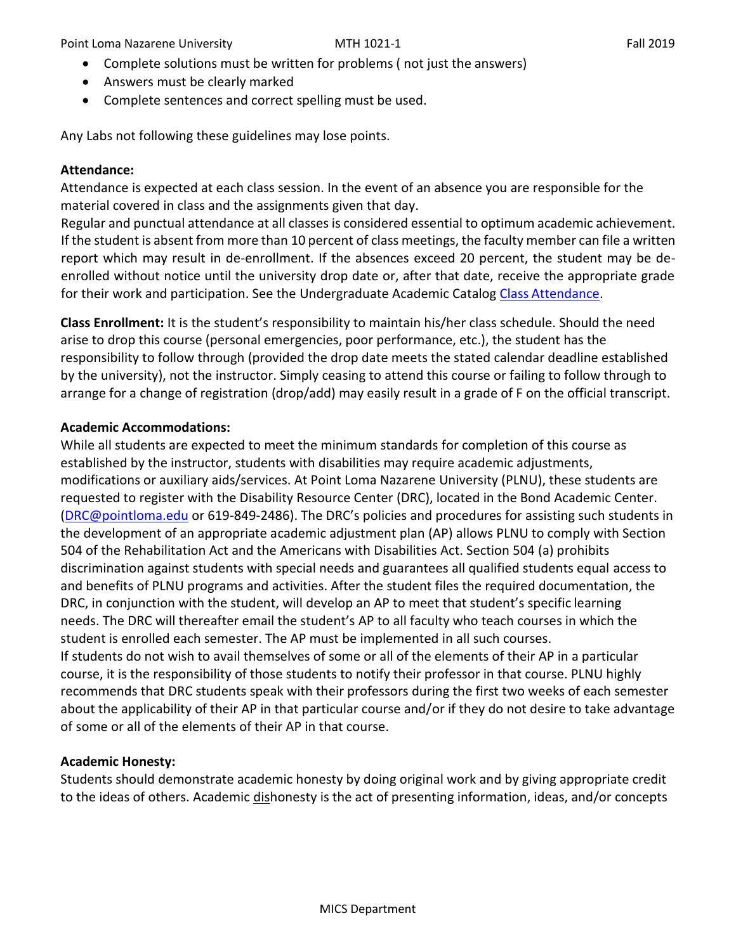Point Loma Nazarene University **MTH 1021-1** Fall 2019

- Complete solutions must be written for problems ( not just the answers)
- Answers must be clearly marked
- Complete sentences and correct spelling must be used.

Any Labs not following these guidelines may lose points.

# **Attendance:**

Attendance is expected at each class session. In the event of an absence you are responsible for the material covered in class and the assignments given that day.

Regular and punctual attendance at all classes is considered essential to optimum academic achievement. If the student is absent from more than 10 percent of class meetings, the faculty member can file a written report which may result in de-enrollment. If the absences exceed 20 percent, the student may be deenrolled without notice until the university drop date or, after that date, receive the appropriate grade for their work and participation. See the Undergraduate Academic Catalog Class [Attendance.](https://catalog.pointloma.edu/content.php?catoid=35&navoid=2136&Class_Attendance)

**Class Enrollment:** It is the student's responsibility to maintain his/her class schedule. Should the need arise to drop this course (personal emergencies, poor performance, etc.), the student has the responsibility to follow through (provided the drop date meets the stated calendar deadline established by the university), not the instructor. Simply ceasing to attend this course or failing to follow through to arrange for a change of registration (drop/add) may easily result in a grade of F on the official transcript.

# **Academic Accommodations:**

While all students are expected to meet the minimum standards for completion of this course as established by the instructor, students with disabilities may require academic adjustments, modifications or auxiliary aids/services. At Point Loma Nazarene University (PLNU), these students are requested to register with the Disability Resource Center (DRC), located in the Bond Academic Center. [\(DRC@pointloma.edu](mailto:DRC@pointloma.edu) or 619-849-2486). The DRC's policies and procedures for assisting such students in the development of an appropriate academic adjustment plan (AP) allows PLNU to comply with Section 504 of the Rehabilitation Act and the Americans with Disabilities Act. Section 504 (a) prohibits discrimination against students with special needs and guarantees all qualified students equal access to and benefits of PLNU programs and activities. After the student files the required documentation, the DRC, in conjunction with the student, will develop an AP to meet that student's specific learning needs. The DRC will thereafter email the student's AP to all faculty who teach courses in which the student is enrolled each semester. The AP must be implemented in all such courses. If students do not wish to avail themselves of some or all of the elements of their AP in a particular course, it is the responsibility of those students to notify their professor in that course. PLNU highly recommends that DRC students speak with their professors during the first two weeks of each semester about the applicability of their AP in that particular course and/or if they do not desire to take advantage of some or all of the elements of their AP in that course.

# **Academic Honesty:**

Students should demonstrate academic honesty by doing original work and by giving appropriate credit to the ideas of others. Academic dishonesty is the act of presenting information, ideas, and/or concepts